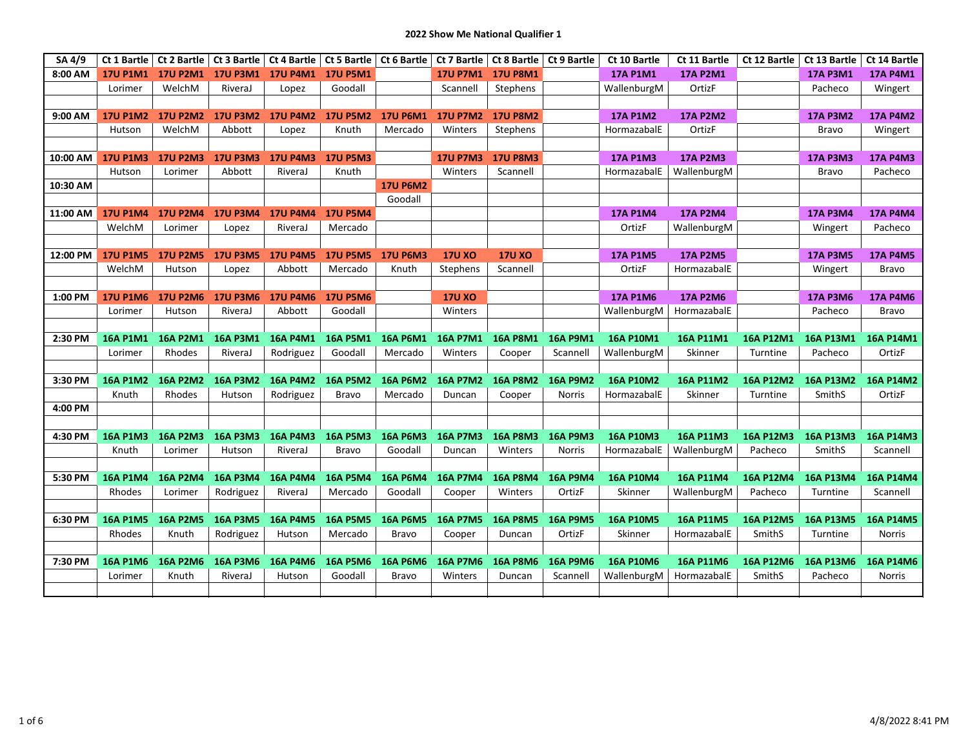| SA 4/9   |                 |                 | Ct 1 Bartle   Ct 2 Bartle   Ct 3 Bartle   Ct 4 Bartle   Ct 5 Bartle |                            |                 |                 | Ct 6 Bartle   Ct 7 Bartle   Ct 8 Bartle   Ct 9 Bartle |                   |                 | Ct 10 Bartle     | Ct 11 Bartle     | Ct 12 Bartle     | Ct 13 Bartle   Ct 14 Bartle |                 |
|----------|-----------------|-----------------|---------------------------------------------------------------------|----------------------------|-----------------|-----------------|-------------------------------------------------------|-------------------|-----------------|------------------|------------------|------------------|-----------------------------|-----------------|
| 8:00 AM  | <b>17U P1M1</b> | <b>17U P2M1</b> |                                                                     | 17U P3M1 17U P4M1 17U P5M1 |                 |                 |                                                       | 17U P7M1 17U P8M1 |                 | <b>17A P1M1</b>  | <b>17A P2M1</b>  |                  | <b>17A P3M1</b>             | <b>17A P4M1</b> |
|          | Lorimer         | WelchM          | RiveraJ                                                             | Lopez                      | Goodall         |                 | Scannell                                              | Stephens          |                 | WallenburgM      | OrtizF           |                  | Pacheco                     | Wingert         |
|          |                 |                 |                                                                     |                            |                 |                 |                                                       |                   |                 |                  |                  |                  |                             |                 |
| 9:00 AM  | <b>17U P1M2</b> | <b>17U P2M2</b> | 17U P3M2 17U P4M2                                                   |                            | <b>17U P5M2</b> | <b>17U P6M1</b> | <b>17U P7M2</b>                                       | <b>17U P8M2</b>   |                 | <b>17A P1M2</b>  | <b>17A P2M2</b>  |                  | <b>17A P3M2</b>             | <b>17A P4M2</b> |
|          | Hutson          | WelchM          | Abbott                                                              | Lopez                      | Knuth           | Mercado         | Winters                                               | Stephens          |                 | HormazabalE      | OrtizF           |                  | <b>Bravo</b>                | Wingert         |
|          |                 |                 |                                                                     |                            |                 |                 |                                                       |                   |                 |                  |                  |                  |                             |                 |
| 10:00 AM | <b>17U P1M3</b> | <b>17U P2M3</b> | <b>17U P3M3</b>                                                     | <b>17U P4M3</b>            | <b>17U P5M3</b> |                 | <b>17U P7M3</b>                                       | <b>17U P8M3</b>   |                 | <b>17A P1M3</b>  | <b>17A P2M3</b>  |                  | <b>17A P3M3</b>             | <b>17A P4M3</b> |
|          | Hutson          | Lorimer         | Abbott                                                              | RiveraJ                    | Knuth           |                 | Winters                                               | Scannell          |                 | HormazabalE      | WallenburgM      |                  | <b>Bravo</b>                | Pacheco         |
| 10:30 AM |                 |                 |                                                                     |                            |                 | <b>17U P6M2</b> |                                                       |                   |                 |                  |                  |                  |                             |                 |
|          |                 |                 |                                                                     |                            |                 | Goodall         |                                                       |                   |                 |                  |                  |                  |                             |                 |
| 11:00 AM | <b>17U P1M4</b> | <b>17U P2M4</b> | <b>17U P3M4</b>                                                     | <b>17U P4M4</b>            | <b>17U P5M4</b> |                 |                                                       |                   |                 | <b>17A P1M4</b>  | <b>17A P2M4</b>  |                  | <b>17A P3M4</b>             | <b>17A P4M4</b> |
|          | WelchM          | Lorimer         | Lopez                                                               | RiveraJ                    | Mercado         |                 |                                                       |                   |                 | OrtizF           | WallenburgM      |                  | Wingert                     | Pacheco         |
|          |                 |                 |                                                                     |                            |                 |                 |                                                       |                   |                 |                  |                  |                  |                             |                 |
| 12:00 PM | <b>17U P1M5</b> | <b>17U P2M5</b> | <b>17U P3M5</b>                                                     | <b>17U P4M5</b>            | <b>17U P5M5</b> | <b>17U P6M3</b> | <b>17U XO</b>                                         | <b>17U XO</b>     |                 | <b>17A P1M5</b>  | <b>17A P2M5</b>  |                  | <b>17A P3M5</b>             | <b>17A P4M5</b> |
|          | WelchM          | Hutson          | Lopez                                                               | Abbott                     | Mercado         | Knuth           | Stephens                                              | Scannell          |                 | OrtizF           | HormazabalE      |                  | Wingert                     | <b>Bravo</b>    |
|          |                 |                 |                                                                     |                            |                 |                 |                                                       |                   |                 |                  |                  |                  |                             |                 |
| 1:00 PM  | <b>17U P1M6</b> | <b>17U P2M6</b> | <b>17U P3M6</b>                                                     | <b>17U P4M6</b>            | <b>17U P5M6</b> |                 | <b>17U XO</b>                                         |                   |                 | <b>17A P1M6</b>  | <b>17A P2M6</b>  |                  | <b>17A P3M6</b>             | <b>17A P4M6</b> |
|          | Lorimer         | Hutson          | RiveraJ                                                             | Abbott                     | Goodall         |                 | Winters                                               |                   |                 | WallenburgM      | HormazabalE      |                  | Pacheco                     | <b>Bravo</b>    |
|          |                 |                 |                                                                     |                            |                 |                 |                                                       |                   |                 |                  |                  |                  |                             |                 |
| 2:30 PM  | <b>16A P1M1</b> | <b>16A P2M1</b> | 16A P3M1                                                            | <b>16A P4M1</b>            | <b>16A P5M1</b> | 16A P6M1        | <b>16A P7M1</b>                                       | <b>16A P8M1</b>   | <b>16A P9M1</b> | 16A P10M1        | 16A P11M1        | 16A P12M1        | 16A P13M1                   | 16A P14M1       |
|          | Lorimer         | Rhodes          | RiveraJ                                                             | Rodriguez                  | Goodall         | Mercado         | Winters                                               | Cooper            | Scannell        | WallenburgM      | Skinner          | Turntine         | Pacheco                     | OrtizF          |
|          |                 |                 |                                                                     |                            |                 |                 |                                                       |                   |                 |                  |                  |                  |                             |                 |
| 3:30 PM  | <b>16A P1M2</b> | <b>16A P2M2</b> | <b>16A P3M2</b>                                                     | <b>16A P4M2</b>            | <b>16A P5M2</b> | <b>16A P6M2</b> | <b>16A P7M2</b>                                       | <b>16A P8M2</b>   | <b>16A P9M2</b> | 16A P10M2        | 16A P11M2        | 16A P12M2        | 16A P13M2                   | 16A P14M2       |
|          | Knuth           | Rhodes          | Hutson                                                              | Rodriguez                  | <b>Bravo</b>    | Mercado         | Duncan                                                | Cooper            | <b>Norris</b>   | HormazabalE      | Skinner          | Turntine         | SmithS                      | OrtizF          |
| 4:00 PM  |                 |                 |                                                                     |                            |                 |                 |                                                       |                   |                 |                  |                  |                  |                             |                 |
|          |                 |                 |                                                                     |                            |                 |                 |                                                       |                   |                 |                  |                  |                  |                             |                 |
| 4:30 PM  | <b>16A P1M3</b> | <b>16A P2M3</b> | <b>16A P3M3</b>                                                     | <b>16A P4M3</b>            | <b>16A P5M3</b> | <b>16A P6M3</b> | <b>16A P7M3</b>                                       | <b>16A P8M3</b>   | <b>16A P9M3</b> | 16A P10M3        | 16A P11M3        | 16A P12M3        | 16A P13M3                   | 16A P14M3       |
|          | Knuth           | Lorimer         | Hutson                                                              | RiveraJ                    | Bravo           | Goodall         | Duncan                                                | Winters           | <b>Norris</b>   | HormazabalE      | WallenburgM      | Pacheco          | SmithS                      | Scannell        |
|          |                 |                 |                                                                     |                            |                 |                 |                                                       |                   |                 |                  |                  |                  |                             |                 |
| 5:30 PM  | <b>16A P1M4</b> | <b>16A P2M4</b> | <b>16A P3M4</b>                                                     | <b>16A P4M4</b>            | <b>16A P5M4</b> | <b>16A P6M4</b> | <b>16A P7M4</b>                                       | <b>16A P8M4</b>   | <b>16A P9M4</b> | <b>16A P10M4</b> | 16A P11M4        | 16A P12M4        | 16A P13M4                   | 16A P14M4       |
|          | Rhodes          | Lorimer         | Rodriguez                                                           | RiveraJ                    | Mercado         | Goodall         | Cooper                                                | Winters           | OrtizF          | Skinner          | WallenburgM      | Pacheco          | Turntine                    | Scannell        |
|          |                 |                 |                                                                     |                            |                 |                 |                                                       |                   |                 |                  |                  |                  |                             |                 |
| 6:30 PM  | <b>16A P1M5</b> | <b>16A P2M5</b> | <b>16A P3M5</b>                                                     | <b>16A P4M5</b>            | <b>16A P5M5</b> | <b>16A P6M5</b> | <b>16A P7M5</b>                                       | <b>16A P8M5</b>   | <b>16A P9M5</b> | <b>16A P10M5</b> | <b>16A P11M5</b> | <b>16A P12M5</b> | 16A P13M5                   | 16A P14M5       |
|          | Rhodes          | Knuth           | Rodriguez                                                           | Hutson                     | Mercado         | <b>Bravo</b>    | Cooper                                                | Duncan            | OrtizF          | Skinner          | HormazabalE      | SmithS           | Turntine                    | Norris          |
|          |                 |                 |                                                                     |                            |                 |                 |                                                       |                   |                 |                  |                  |                  |                             |                 |
| 7:30 PM  | <b>16A P1M6</b> | <b>16A P2M6</b> | <b>16A P3M6</b>                                                     | <b>16A P4M6</b>            | <b>16A P5M6</b> | <b>16A P6M6</b> | <b>16A P7M6</b>                                       | <b>16A P8M6</b>   | <b>16A P9M6</b> | <b>16A P10M6</b> | 16A P11M6        | 16A P12M6        | 16A P13M6                   | 16A P14M6       |
|          | Lorimer         | Knuth           | RiveraJ                                                             | Hutson                     | Goodall         | Bravo           | Winters                                               | Duncan            | Scannel         | WallenburgM      | HormazabalE      | SmithS           | Pacheco                     | Norris          |
|          |                 |                 |                                                                     |                            |                 |                 |                                                       |                   |                 |                  |                  |                  |                             |                 |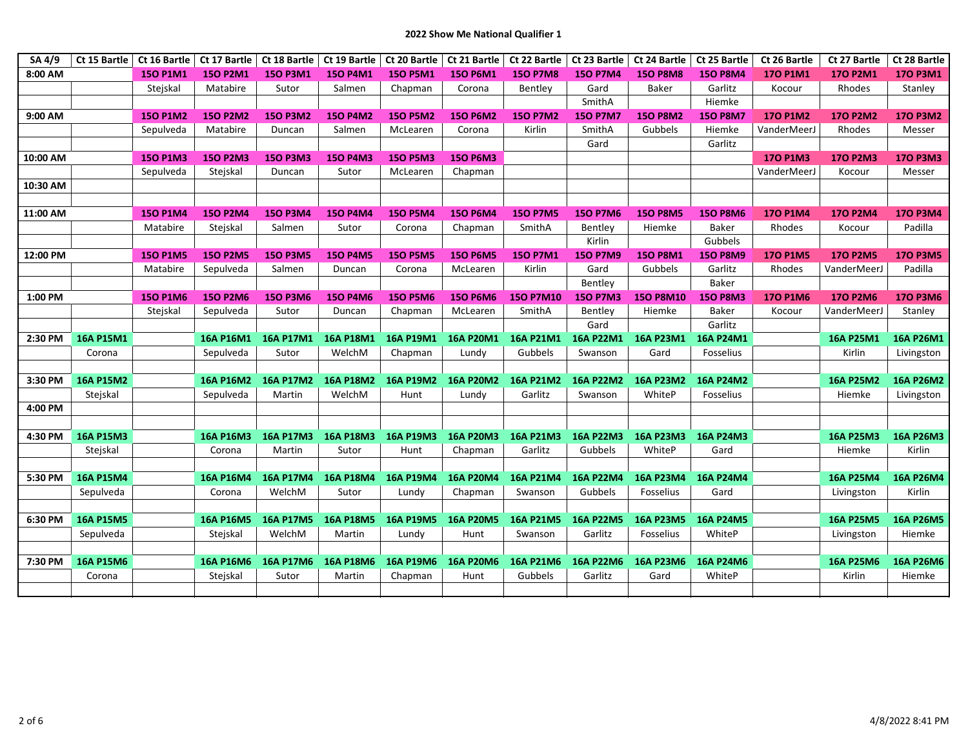| SA 4/9   | Ct 15 Bartle |                 | Ct 16 Bartle   Ct 17 Bartle | Ct 18 Bartle    |                  | Ct 19 Bartle   Ct 20 Bartle   Ct 21 Bartle |                  | Ct 22 Bartle     |                 | Ct 23 Bartle   Ct 24 Bartle | Ct 25 Bartle    | Ct 26 Bartle    | Ct 27 Bartle     | Ct 28 Bartle    |
|----------|--------------|-----------------|-----------------------------|-----------------|------------------|--------------------------------------------|------------------|------------------|-----------------|-----------------------------|-----------------|-----------------|------------------|-----------------|
| 8:00 AM  |              | 150 P1M1        | <b>150 P2M1</b>             | 150 P3M1        | 150 P4M1         | <b>150 P5M1</b>                            | 150 P6M1         | <b>150 P7M8</b>  | <b>150 P7M4</b> | <b>150 P8M8</b>             | <b>150 P8M4</b> | 170 P1M1        | 170 P2M1         | 170 P3M1        |
|          |              | Stejskal        | Matabire                    | Sutor           | Salmen           | Chapman                                    | Corona           | Bentley          | Gard            | <b>Baker</b>                | Garlitz         | Kocour          | Rhodes           | Stanley         |
|          |              |                 |                             |                 |                  |                                            |                  |                  | SmithA          |                             | Hiemke          |                 |                  |                 |
| 9:00 AM  |              | <b>150 P1M2</b> | <b>150 P2M2</b>             | <b>150 P3M2</b> | <b>150 P4M2</b>  | <b>150 P5M2</b>                            | <b>150 P6M2</b>  | <b>150 P7M2</b>  | <b>150 P7M7</b> | <b>150 P8M2</b>             | <b>150 P8M7</b> | 170 P1M2        | <b>170 P2M2</b>  | <b>170 P3M2</b> |
|          |              | Sepulveda       | Matabire                    | Duncan          | Salmen           | McLearen                                   | Corona           | Kirlin           | SmithA          | Gubbels                     | Hiemke          | VanderMeerJ     | Rhodes           | Messer          |
|          |              |                 |                             |                 |                  |                                            |                  |                  | Gard            |                             | Garlitz         |                 |                  |                 |
| 10:00 AM |              | <b>150 P1M3</b> | <b>150 P2M3</b>             | <b>150 P3M3</b> | <b>150 P4M3</b>  | <b>150 P5M3</b>                            | <b>150 P6M3</b>  |                  |                 |                             |                 | 170 P1M3        | <b>170 P2M3</b>  | <b>170 P3M3</b> |
|          |              | Sepulveda       | Stejskal                    | Duncan          | Sutor            | McLearen                                   | Chapman          |                  |                 |                             |                 | VanderMeerJ     | Kocour           | Messer          |
| 10:30 AM |              |                 |                             |                 |                  |                                            |                  |                  |                 |                             |                 |                 |                  |                 |
|          |              |                 |                             |                 |                  |                                            |                  |                  |                 |                             |                 |                 |                  |                 |
| 11:00 AM |              | <b>150 P1M4</b> | <b>150 P2M4</b>             | <b>150 P3M4</b> | <b>150 P4M4</b>  | <b>150 P5M4</b>                            | <b>150 P6M4</b>  | <b>150 P7M5</b>  | <b>150 P7M6</b> | <b>150 P8M5</b>             | <b>150 P8M6</b> | <b>170 P1M4</b> | <b>170 P2M4</b>  | <b>170 P3M4</b> |
|          |              | Matabire        | Stejskal                    | Salmen          | Sutor            | Corona                                     | Chapman          | SmithA           | Bentley         | Hiemke                      | Baker           | Rhodes          | Kocour           | Padilla         |
|          |              |                 |                             |                 |                  |                                            |                  |                  | Kirlin          |                             | Gubbels         |                 |                  |                 |
| 12:00 PM |              | <b>150 P1M5</b> | <b>150 P2M5</b>             | <b>150 P3M5</b> | <b>150 P4M5</b>  | <b>150 P5M5</b>                            | <b>150 P6M5</b>  | <b>150 P7M1</b>  | <b>150 P7M9</b> | 150 P8M1                    | <b>150 P8M9</b> | <b>170 P1M5</b> | <b>170 P2M5</b>  | <b>170 P3M5</b> |
|          |              | Matabire        | Sepulveda                   | Salmen          | Duncan           | Corona                                     | McLearen         | Kirlin           | Gard            | Gubbels                     | Garlitz         | Rhodes          | VanderMeerJ      | Padilla         |
|          |              |                 |                             |                 |                  |                                            |                  |                  | Bentley         |                             | <b>Baker</b>    |                 |                  |                 |
| 1:00 PM  |              | 150 P1M6        | <b>150 P2M6</b>             | <b>150 P3M6</b> | <b>150 P4M6</b>  | <b>150 P5M6</b>                            | 150 P6M6         | 150 P7M10        | <b>150 P7M3</b> | <b>150 P8M10</b>            | <b>150 P8M3</b> | 170 P1M6        | 170 P2M6         | 170 P3M6        |
|          |              | Stejskal        | Sepulveda                   | Sutor           | Duncan           | Chapman                                    | McLearen         | SmithA           | Bentley         | Hiemke                      | Baker           | Kocour          | VanderMeerJ      | Stanley         |
|          |              |                 |                             |                 |                  |                                            |                  |                  | Gard            |                             | Garlitz         |                 |                  |                 |
| 2:30 PM  | 16A P15M1    |                 | 16A P16M1                   | 16A P17M1       | 16A P18M1        | 16A P19M1                                  | 16A P20M1        | 16A P21M1        | 16A P22M1       | 16A P23M1                   | 16A P24M1       |                 | 16A P25M1        | 16A P26M1       |
|          | Corona       |                 | Sepulveda                   | Sutor           | WelchM           | Chapman                                    | Lundy            | Gubbels          | Swanson         | Gard                        | Fosselius       |                 | Kirlin           | Livingston      |
|          |              |                 |                             |                 |                  |                                            |                  |                  |                 |                             |                 |                 |                  |                 |
| 3:30 PM  | 16A P15M2    |                 | 16A P16M2                   | 16A P17M2       | 16A P18M2        | 16A P19M2                                  | <b>16A P20M2</b> | 16A P21M2        | 16A P22M2       | 16A P23M2                   | 16A P24M2       |                 | 16A P25M2        | 16A P26M2       |
|          | Stejskal     |                 | Sepulveda                   | Martin          | WelchM           | Hunt                                       | Lundy            | Garlitz          | Swanson         | WhiteP                      | Fosselius       |                 | Hiemke           | Livingston      |
| 4:00 PM  |              |                 |                             |                 |                  |                                            |                  |                  |                 |                             |                 |                 |                  |                 |
|          |              |                 |                             |                 |                  |                                            |                  |                  |                 |                             |                 |                 |                  |                 |
| 4:30 PM  | 16A P15M3    |                 | 16A P16M3                   | 16A P17M3       | 16A P18M3        | 16A P19M3                                  | 16A P20M3        | 16A P21M3        | 16A P22M3       | 16A P23M3                   | 16A P24M3       |                 | 16A P25M3        | 16A P26M3       |
|          | Stejskal     |                 | Corona                      | Martin          | Sutor            | Hunt                                       | Chapman          | Garlitz          | Gubbels         | WhiteP                      | Gard            |                 | Hiemke           | Kirlin          |
|          |              |                 |                             |                 |                  |                                            |                  |                  |                 |                             |                 |                 |                  |                 |
| 5:30 PM  | 16A P15M4    |                 | 16A P16M4                   | 16A P17M4       | 16A P18M4        | 16A P19M4                                  | <b>16A P20M4</b> | 16A P21M4        | 16A P22M4       | 16A P23M4                   | 16A P24M4       |                 | 16A P25M4        | 16A P26M4       |
|          | Sepulveda    |                 | Corona                      | WelchM          | Sutor            | Lundy                                      | Chapman          | Swanson          | Gubbels         | Fosselius                   | Gard            |                 | Livingston       | Kirlin          |
|          |              |                 |                             |                 |                  |                                            |                  |                  |                 |                             |                 |                 |                  |                 |
| 6:30 PM  | 16A P15M5    |                 | 16A P16M5                   | 16A P17M5       | <b>16A P18M5</b> | 16A P19M5                                  | <b>16A P20M5</b> | <b>16A P21M5</b> | 16A P22M5       | 16A P23M5                   | 16A P24M5       |                 | <b>16A P25M5</b> | 16A P26M5       |
|          | Sepulveda    |                 | Stejskal                    | WelchM          | Martin           | Lundy                                      | Hunt             | Swanson          | Garlitz         | Fosselius                   | WhiteP          |                 | Livingston       | Hiemke          |
|          |              |                 |                             |                 |                  |                                            |                  |                  |                 |                             |                 |                 |                  |                 |
| 7:30 PM  | 16A P15M6    |                 | 16A P16M6                   | 16A P17M6       | 16A P18M6        | 16A P19M6                                  | 16A P20M6        | 16A P21M6        | 16A P22M6       | 16A P23M6                   | 16A P24M6       |                 | 16A P25M6        | 16A P26M6       |
|          | Corona       |                 | Stejskal                    | Sutor           | Martin           | Chapman                                    | Hunt             | Gubbels          | Garlitz         | Gard                        | WhiteP          |                 | Kirlin           | Hiemke          |
|          |              |                 |                             |                 |                  |                                            |                  |                  |                 |                             |                 |                 |                  |                 |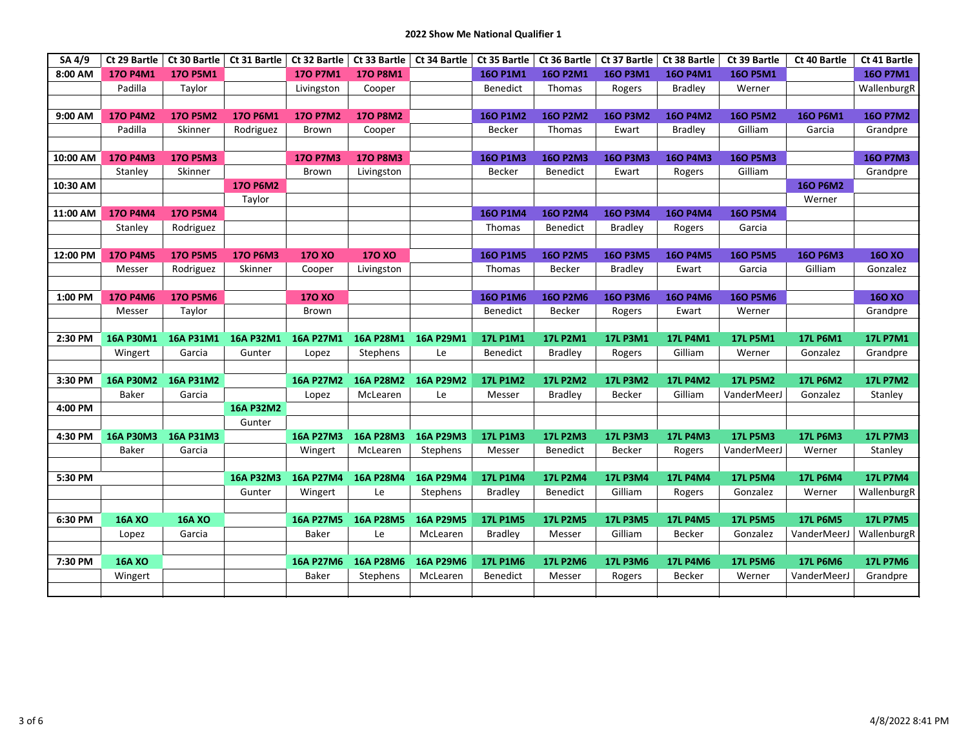| SA 4/9   | Ct 29 Bartle    | Ct 30 Bartle    | Ct 31 Bartle    |                  | Ct 32 Bartle   Ct 33 Bartle   Ct 34 Bartle |                  | Ct 35 Bartle    | Ct 36 Bartle   Ct 37 Bartle |                 | Ct 38 Bartle    | Ct 39 Bartle    | Ct 40 Bartle    | Ct 41 Bartle    |
|----------|-----------------|-----------------|-----------------|------------------|--------------------------------------------|------------------|-----------------|-----------------------------|-----------------|-----------------|-----------------|-----------------|-----------------|
| 8:00 AM  | 170 P4M1        | <b>170 P5M1</b> |                 | 170 P7M1         | <b>170 P8M1</b>                            |                  | 160 P1M1        | <b>160 P2M1</b>             | 160 P3M1        | 160 P4M1        | <b>160 P5M1</b> |                 | 160 P7M1        |
|          | Padilla         | Taylor          |                 | Livingston       | Cooper                                     |                  | <b>Benedict</b> | Thomas                      | Rogers          | <b>Bradley</b>  | Werner          |                 | WallenburgR     |
|          |                 |                 |                 |                  |                                            |                  |                 |                             |                 |                 |                 |                 |                 |
| 9:00 AM  | <b>170 P4M2</b> | <b>170 P5M2</b> | 170 P6M1        | <b>170 P7M2</b>  | <b>170 P8M2</b>                            |                  | <b>160 P1M2</b> | <b>160 P2M2</b>             | <b>160 P3M2</b> | <b>160 P4M2</b> | <b>160 P5M2</b> | 160 P6M1        | <b>160 P7M2</b> |
|          | Padilla         | Skinner         | Rodriguez       | Brown            | Cooper                                     |                  | Becker          | Thomas                      | Ewart           | <b>Bradley</b>  | Gilliam         | Garcia          | Grandpre        |
|          |                 |                 |                 |                  |                                            |                  |                 |                             |                 |                 |                 |                 |                 |
| 10:00 AM | <b>170 P4M3</b> | <b>170 P5M3</b> |                 | <b>170 P7M3</b>  | <b>170 P8M3</b>                            |                  | <b>160 P1M3</b> | <b>160 P2M3</b>             | <b>160 P3M3</b> | 160 P4M3        | <b>160 P5M3</b> |                 | <b>160 P7M3</b> |
|          | Stanley         | Skinner         |                 | Brown            | Livingston                                 |                  | <b>Becker</b>   | Benedict                    | Ewart           | Rogers          | Gilliam         |                 | Grandpre        |
| 10:30 AM |                 |                 | <b>170 P6M2</b> |                  |                                            |                  |                 |                             |                 |                 |                 | <b>160 P6M2</b> |                 |
|          |                 |                 | Taylor          |                  |                                            |                  |                 |                             |                 |                 |                 | Werner          |                 |
| 11:00 AM | <b>170 P4M4</b> | <b>170 P5M4</b> |                 |                  |                                            |                  | <b>160 P1M4</b> | <b>160 P2M4</b>             | <b>160 P3M4</b> | <b>160 P4M4</b> | <b>160 P5M4</b> |                 |                 |
|          | Stanley         | Rodriguez       |                 |                  |                                            |                  | Thomas          | Benedict                    | <b>Bradley</b>  | Rogers          | Garcia          |                 |                 |
|          |                 |                 |                 |                  |                                            |                  |                 |                             |                 |                 |                 |                 |                 |
| 12:00 PM | <b>170 P4M5</b> | <b>170 P5M5</b> | <b>170 P6M3</b> | <b>170 XO</b>    | <b>170 XO</b>                              |                  | <b>160 P1M5</b> | <b>160 P2M5</b>             | <b>160 P3M5</b> | <b>160 P4M5</b> | <b>160 P5M5</b> | <b>160 P6M3</b> | <b>160 XO</b>   |
|          | Messer          | Rodriguez       | Skinner         | Cooper           | Livingston                                 |                  | Thomas          | Becker                      | <b>Bradley</b>  | Ewart           | Garcia          | Gilliam         | Gonzalez        |
|          |                 |                 |                 |                  |                                            |                  |                 |                             |                 |                 |                 |                 |                 |
| 1:00 PM  | <b>170 P4M6</b> | <b>170 P5M6</b> |                 | 170 XO           |                                            |                  | <b>160 P1M6</b> | 160 P2M6                    | 160 P3M6        | 160 P4M6        | <b>160 P5M6</b> |                 | <b>160 XO</b>   |
|          | Messer          | Taylor          |                 | Brown            |                                            |                  | <b>Benedict</b> | Becker                      | Rogers          | Ewart           | Werner          |                 | Grandpre        |
|          |                 |                 |                 |                  |                                            |                  |                 |                             |                 |                 |                 |                 |                 |
| 2:30 PM  | 16A P30M1       | 16A P31M1       | 16A P32M1       | 16A P27M1        | 16A P28M1                                  | 16A P29M1        | <b>17L P1M1</b> | <b>17L P2M1</b>             | <b>17L P3M1</b> | <b>17L P4M1</b> | <b>17L P5M1</b> | <b>17L P6M1</b> | <b>17L P7M1</b> |
|          | Wingert         | Garcia          | Gunter          | Lopez            | Stephens                                   | Le               | Benedict        | <b>Bradley</b>              | Rogers          | Gilliam         | Werner          | Gonzalez        | Grandpre        |
|          |                 |                 |                 |                  |                                            |                  |                 |                             |                 |                 |                 |                 |                 |
| 3:30 PM  | 16A P30M2       | 16A P31M2       |                 | 16A P27M2        | 16A P28M2                                  | 16A P29M2        | <b>17L P1M2</b> | <b>17L P2M2</b>             | <b>17L P3M2</b> | <b>17L P4M2</b> | <b>17L P5M2</b> | <b>17L P6M2</b> | <b>17L P7M2</b> |
|          | <b>Baker</b>    | Garcia          |                 | Lopez            | McLearen                                   | Le               | Messer          | <b>Bradley</b>              | Becker          | Gilliam         | VanderMeerJ     | Gonzalez        | Stanley         |
| 4:00 PM  |                 |                 | 16A P32M2       |                  |                                            |                  |                 |                             |                 |                 |                 |                 |                 |
|          |                 |                 | Gunter          |                  |                                            |                  |                 |                             |                 |                 |                 |                 |                 |
| 4:30 PM  | 16A P30M3       | 16A P31M3       |                 | 16A P27M3        | 16A P28M3                                  | 16A P29M3        | <b>17L P1M3</b> | <b>17L P2M3</b>             | <b>17L P3M3</b> | <b>17L P4M3</b> | <b>17L P5M3</b> | <b>17L P6M3</b> | <b>17L P7M3</b> |
|          | Baker           | Garcia          |                 | Wingert          | McLearen                                   | Stephens         | Messer          | <b>Benedict</b>             | Becker          | Rogers          | VanderMeerJ     | Werner          | Stanley         |
|          |                 |                 |                 |                  |                                            |                  |                 |                             |                 |                 |                 |                 |                 |
| 5:30 PM  |                 |                 | 16A P32M3       | 16A P27M4        | 16A P28M4                                  | 16A P29M4        | <b>17L P1M4</b> | <b>17L P2M4</b>             | <b>17L P3M4</b> | <b>17L P4M4</b> | <b>17L P5M4</b> | <b>17L P6M4</b> | <b>17L P7M4</b> |
|          |                 |                 | Gunter          | Wingert          | Le                                         | Stephens         | <b>Bradley</b>  | Benedict                    | Gilliam         | Rogers          | Gonzalez        | Werner          | WallenburgR     |
|          |                 |                 |                 |                  |                                            |                  |                 |                             |                 |                 |                 |                 |                 |
| 6:30 PM  | <b>16A XO</b>   | <b>16A XO</b>   |                 | <b>16A P27M5</b> | <b>16A P28M5</b>                           | <b>16A P29M5</b> | <b>17L P1M5</b> | <b>17L P2M5</b>             | <b>17L P3M5</b> | <b>17L P4M5</b> | <b>17L P5M5</b> | <b>17L P6M5</b> | <b>17L P7M5</b> |
|          | Lopez           | Garcia          |                 | <b>Baker</b>     | Le                                         | McLearen         | <b>Bradley</b>  | Messer                      | Gilliam         | Becker          | Gonzalez        | VanderMeerJ     | WallenburgR     |
|          |                 |                 |                 |                  |                                            |                  |                 |                             |                 |                 |                 |                 |                 |
| 7:30 PM  | <b>16A XO</b>   |                 |                 | 16A P27M6        | 16A P28M6                                  | 16A P29M6        | <b>17L P1M6</b> | <b>17L P2M6</b>             | <b>17L P3M6</b> | <b>17L P4M6</b> | <b>17L P5M6</b> | <b>17L P6M6</b> | <b>17L P7M6</b> |
|          | Wingert         |                 |                 | Baker            | Stephens                                   | McLearen         | <b>Benedict</b> | Messer                      | Rogers          | Becker          | Werner          | VanderMeerJ     | Grandpre        |
|          |                 |                 |                 |                  |                                            |                  |                 |                             |                 |                 |                 |                 |                 |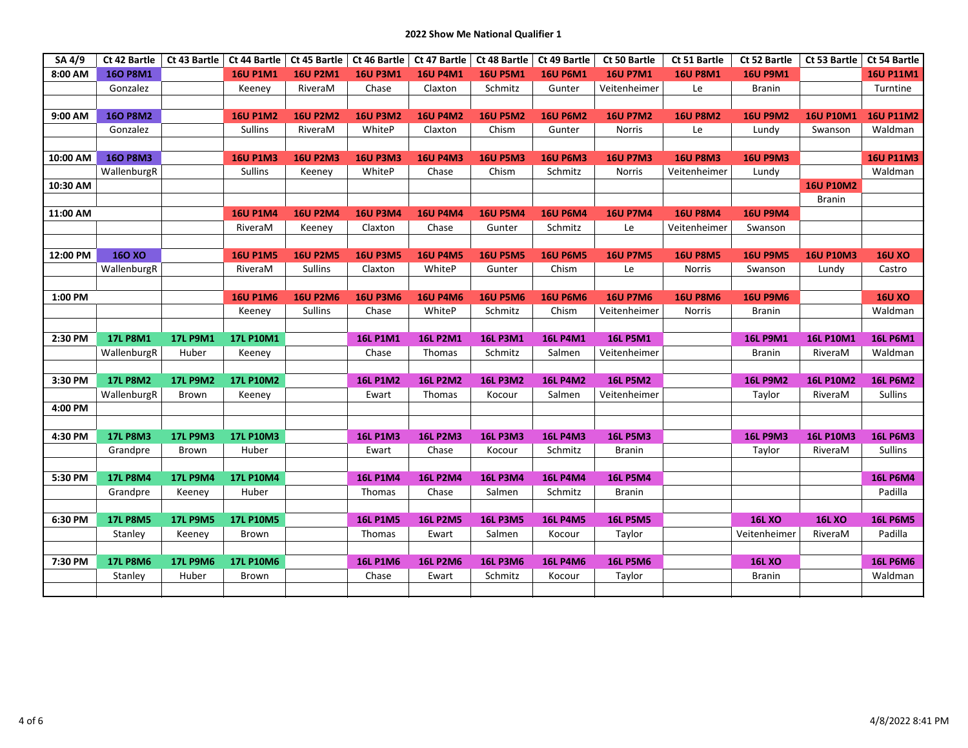| SA 4/9   | Ct 42 Bartle    | Ct 43 Bartle    | Ct 44 Bartle     | Ct 45 Bartle    | Ct 46 Bartle    | Ct 47 Bartle    | Ct 48 Bartle    | Ct 49 Bartle    | Ct 50 Bartle    | Ct 51 Bartle    | Ct 52 Bartle    | Ct 53 Bartle     | Ct 54 Bartle     |
|----------|-----------------|-----------------|------------------|-----------------|-----------------|-----------------|-----------------|-----------------|-----------------|-----------------|-----------------|------------------|------------------|
| 8:00 AM  | <b>160 P8M1</b> |                 | <b>16U P1M1</b>  | <b>16U P2M1</b> | <b>16U P3M1</b> | <b>16U P4M1</b> | <b>16U P5M1</b> | <b>16U P6M1</b> | <b>16U P7M1</b> | <b>16U P8M1</b> | <b>16U P9M1</b> |                  | <b>16U P11M1</b> |
|          | Gonzalez        |                 | Keeney           | RiveraM         | Chase           | Claxton         | Schmitz         | Gunter          | Veitenheimer    | Le              | <b>Branin</b>   |                  | Turntine         |
|          |                 |                 |                  |                 |                 |                 |                 |                 |                 |                 |                 |                  |                  |
| 9:00 AM  | <b>160 P8M2</b> |                 | <b>16U P1M2</b>  | <b>16U P2M2</b> | <b>16U P3M2</b> | <b>16U P4M2</b> | <b>16U P5M2</b> | <b>16U P6M2</b> | <b>16U P7M2</b> | <b>16U P8M2</b> | <b>16U P9M2</b> | <b>16U P10M1</b> | <b>16U P11M2</b> |
|          | Gonzalez        |                 | <b>Sullins</b>   | RiveraM         | WhiteP          | Claxton         | Chism           | Gunter          | <b>Norris</b>   | Le              | Lundy           | Swanson          | Waldman          |
|          |                 |                 |                  |                 |                 |                 |                 |                 |                 |                 |                 |                  |                  |
| 10:00 AM | <b>160 P8M3</b> |                 | <b>16U P1M3</b>  | <b>16U P2M3</b> | <b>16U P3M3</b> | <b>16U P4M3</b> | <b>16U P5M3</b> | <b>16U P6M3</b> | <b>16U P7M3</b> | <b>16U P8M3</b> | <b>16U P9M3</b> |                  | <b>16U P11M3</b> |
|          | WallenburgR     |                 | <b>Sullins</b>   | Keeney          | WhiteP          | Chase           | Chism           | Schmitz         | <b>Norris</b>   | Veitenheimer    | Lundy           |                  | Waldman          |
| 10:30 AM |                 |                 |                  |                 |                 |                 |                 |                 |                 |                 |                 | <b>16U P10M2</b> |                  |
|          |                 |                 |                  |                 |                 |                 |                 |                 |                 |                 |                 | <b>Branin</b>    |                  |
| 11:00 AM |                 |                 | <b>16U P1M4</b>  | <b>16U P2M4</b> | <b>16U P3M4</b> | <b>16U P4M4</b> | <b>16U P5M4</b> | <b>16U P6M4</b> | <b>16U P7M4</b> | <b>16U P8M4</b> | <b>16U P9M4</b> |                  |                  |
|          |                 |                 | RiveraM          | Keeney          | Claxton         | Chase           | Gunter          | Schmitz         | Le              | Veitenheimer    | Swanson         |                  |                  |
|          |                 |                 |                  |                 |                 |                 |                 |                 |                 |                 |                 |                  |                  |
| 12:00 PM | <b>160 XO</b>   |                 | <b>16U P1M5</b>  | <b>16U P2M5</b> | <b>16U P3M5</b> | <b>16U P4M5</b> | <b>16U P5M5</b> | <b>16U P6M5</b> | <b>16U P7M5</b> | <b>16U P8M5</b> | <b>16U P9M5</b> | <b>16U P10M3</b> | <b>16U XO</b>    |
|          | WallenburgR     |                 | RiveraM          | Sullins         | Claxton         | WhiteP          | Gunter          | Chism           | Le              | <b>Norris</b>   | Swanson         | Lundy            | Castro           |
|          |                 |                 |                  |                 |                 |                 |                 |                 |                 |                 |                 |                  |                  |
| 1:00 PM  |                 |                 | <b>16U P1M6</b>  | <b>16U P2M6</b> | <b>16U P3M6</b> | <b>16U P4M6</b> | <b>16U P5M6</b> | <b>16U P6M6</b> | <b>16U P7M6</b> | <b>16U P8M6</b> | <b>16U P9M6</b> |                  | <b>16U XO</b>    |
|          |                 |                 | Keeney           | <b>Sullins</b>  | Chase           | WhiteP          | Schmitz         | Chism           | Veitenheimer    | <b>Norris</b>   | <b>Branin</b>   |                  | Waldman          |
|          |                 |                 |                  |                 |                 |                 |                 |                 |                 |                 |                 |                  |                  |
| 2:30 PM  | <b>17L P8M1</b> | <b>17L P9M1</b> | 17L P10M1        |                 | <b>16L P1M1</b> | <b>16L P2M1</b> | <b>16L P3M1</b> | <b>16L P4M1</b> | <b>16L P5M1</b> |                 | <b>16L P9M1</b> | <b>16L P10M1</b> | <b>16L P6M1</b>  |
|          | WallenburgR     | Huber           | Keeney           |                 | Chase           | Thomas          | Schmitz         | Salmen          | Veitenheimer    |                 | <b>Branin</b>   | RiveraM          | Waldman          |
|          |                 |                 |                  |                 |                 |                 |                 |                 |                 |                 |                 |                  |                  |
| 3:30 PM  | <b>17L P8M2</b> | <b>17L P9M2</b> | <b>17L P10M2</b> |                 | <b>16L P1M2</b> | <b>16L P2M2</b> | <b>16L P3M2</b> | <b>16L P4M2</b> | <b>16L P5M2</b> |                 | <b>16L P9M2</b> | <b>16L P10M2</b> | <b>16L P6M2</b>  |
|          | WallenburgR     | <b>Brown</b>    | Keeney           |                 | Ewart           | Thomas          | Kocour          | Salmen          | Veitenheimer    |                 | Taylor          | RiveraM          | <b>Sullins</b>   |
| 4:00 PM  |                 |                 |                  |                 |                 |                 |                 |                 |                 |                 |                 |                  |                  |
|          |                 |                 |                  |                 |                 |                 |                 |                 |                 |                 |                 |                  |                  |
| 4:30 PM  | <b>17L P8M3</b> | <b>17L P9M3</b> | <b>17L P10M3</b> |                 | <b>16L P1M3</b> | <b>16L P2M3</b> | <b>16L P3M3</b> | <b>16L P4M3</b> | <b>16L P5M3</b> |                 | <b>16L P9M3</b> | <b>16L P10M3</b> | <b>16L P6M3</b>  |
|          | Grandpre        | <b>Brown</b>    | Huber            |                 | Ewart           | Chase           | Kocour          | Schmitz         | <b>Branin</b>   |                 | Taylor          | RiveraM          | <b>Sullins</b>   |
|          |                 |                 |                  |                 |                 |                 |                 |                 |                 |                 |                 |                  |                  |
| 5:30 PM  | <b>17L P8M4</b> | <b>17L P9M4</b> | <b>17L P10M4</b> |                 | <b>16L P1M4</b> | <b>16L P2M4</b> | <b>16L P3M4</b> | <b>16L P4M4</b> | <b>16L P5M4</b> |                 |                 |                  | <b>16L P6M4</b>  |
|          | Grandpre        | Keeney          | Huber            |                 | Thomas          | Chase           | Salmen          | Schmitz         | <b>Branin</b>   |                 |                 |                  | Padilla          |
|          |                 |                 |                  |                 |                 |                 |                 |                 |                 |                 |                 |                  |                  |
| 6:30 PM  | <b>17L P8M5</b> | <b>17L P9M5</b> | <b>17L P10M5</b> |                 | <b>16L P1M5</b> | <b>16L P2M5</b> | <b>16L P3M5</b> | <b>16L P4M5</b> | <b>16L P5M5</b> |                 | <b>16L XO</b>   | <b>16L XO</b>    | <b>16L P6M5</b>  |
|          | Stanley         | Keeney          | Brown            |                 | Thomas          | Ewart           | Salmen          | Kocour          | Taylor          |                 | Veitenheimer    | RiveraM          | Padilla          |
|          |                 |                 |                  |                 |                 |                 |                 |                 |                 |                 |                 |                  |                  |
| 7:30 PM  | <b>17L P8M6</b> | <b>17L P9M6</b> | <b>17L P10M6</b> |                 | <b>16L P1M6</b> | <b>16L P2M6</b> | <b>16L P3M6</b> | <b>16L P4M6</b> | <b>16L P5M6</b> |                 | <b>16L XO</b>   |                  | <b>16L P6M6</b>  |
|          | Stanley         | Huber           | Brown            |                 | Chase           | Ewart           | Schmitz         | Kocour          | Taylor          |                 | <b>Branin</b>   |                  | Waldman          |
|          |                 |                 |                  |                 |                 |                 |                 |                 |                 |                 |                 |                  |                  |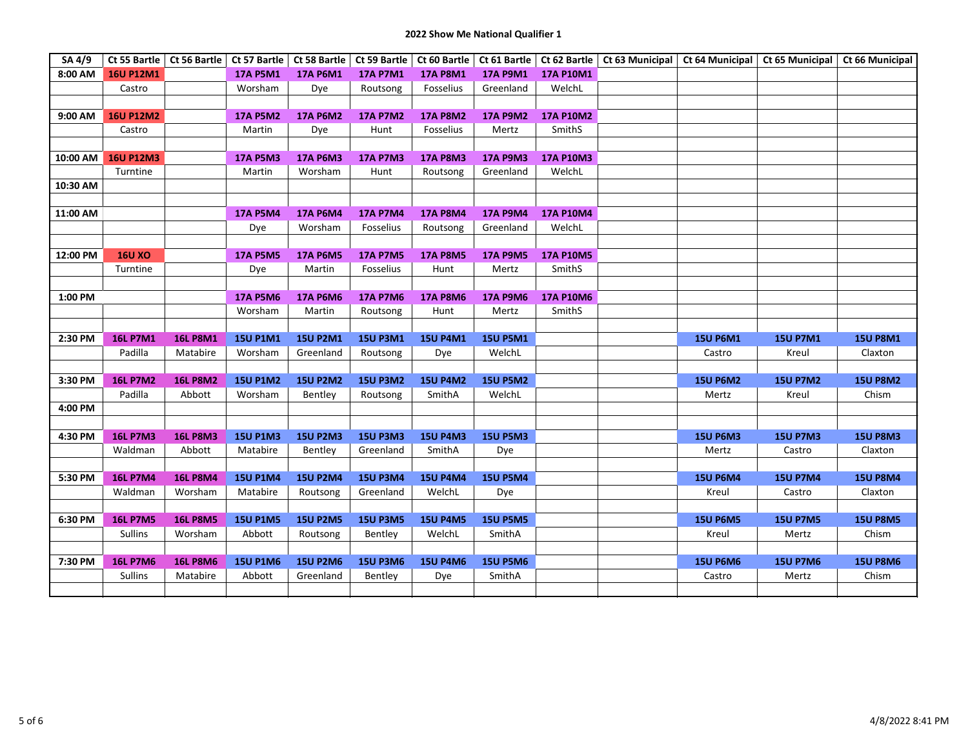| SA 4/9   |                  | Ct 55 Bartle   Ct 56 Bartle |                 |                 |                 |                 |                 |                  | Ct 57 Bartle   Ct 58 Bartle   Ct 59 Bartle   Ct 60 Bartle   Ct 61 Bartle   Ct 62 Bartle   Ct 63 Municipal   Ct 64 Municipal   Ct 65 Municipal   Ct 66 Municipal   Ct 66 Municipal |                 |                 |                 |
|----------|------------------|-----------------------------|-----------------|-----------------|-----------------|-----------------|-----------------|------------------|-----------------------------------------------------------------------------------------------------------------------------------------------------------------------------------|-----------------|-----------------|-----------------|
| 8:00 AM  | <b>16U P12M1</b> |                             | <b>17A P5M1</b> | <b>17A P6M1</b> | 17A P7M1        | <b>17A P8M1</b> | 17A P9M1        | 17A P10M1        |                                                                                                                                                                                   |                 |                 |                 |
|          | Castro           |                             | Worsham         | Dye             | Routsong        | Fosselius       | Greenland       | WelchL           |                                                                                                                                                                                   |                 |                 |                 |
|          |                  |                             |                 |                 |                 |                 |                 |                  |                                                                                                                                                                                   |                 |                 |                 |
| 9:00 AM  | <b>16U P12M2</b> |                             | <b>17A P5M2</b> | <b>17A P6M2</b> | <b>17A P7M2</b> | <b>17A P8M2</b> | <b>17A P9M2</b> | <b>17A P10M2</b> |                                                                                                                                                                                   |                 |                 |                 |
|          | Castro           |                             | Martin          | Dye             | Hunt            | Fosselius       | Mertz           | SmithS           |                                                                                                                                                                                   |                 |                 |                 |
|          |                  |                             |                 |                 |                 |                 |                 |                  |                                                                                                                                                                                   |                 |                 |                 |
| 10:00 AM | <b>16U P12M3</b> |                             | <b>17A P5M3</b> | <b>17A P6M3</b> | <b>17A P7M3</b> | <b>17A P8M3</b> | <b>17A P9M3</b> | 17A P10M3        |                                                                                                                                                                                   |                 |                 |                 |
|          | Turntine         |                             | Martin          | Worsham         | Hunt            | Routsong        | Greenland       | WelchL           |                                                                                                                                                                                   |                 |                 |                 |
| 10:30 AM |                  |                             |                 |                 |                 |                 |                 |                  |                                                                                                                                                                                   |                 |                 |                 |
|          |                  |                             |                 |                 |                 |                 |                 |                  |                                                                                                                                                                                   |                 |                 |                 |
| 11:00 AM |                  |                             | <b>17A P5M4</b> | <b>17A P6M4</b> | <b>17A P7M4</b> | <b>17A P8M4</b> | <b>17A P9M4</b> | <b>17A P10M4</b> |                                                                                                                                                                                   |                 |                 |                 |
|          |                  |                             | Dye             | Worsham         | Fosselius       | Routsong        | Greenland       | WelchL           |                                                                                                                                                                                   |                 |                 |                 |
|          |                  |                             |                 |                 |                 |                 |                 |                  |                                                                                                                                                                                   |                 |                 |                 |
| 12:00 PM | <b>16U XO</b>    |                             | <b>17A P5M5</b> | <b>17A P6M5</b> | <b>17A P7M5</b> | <b>17A P8M5</b> | <b>17A P9M5</b> | 17A P10M5        |                                                                                                                                                                                   |                 |                 |                 |
|          | Turntine         |                             | Dye             | Martin          | Fosselius       | Hunt            | Mertz           | SmithS           |                                                                                                                                                                                   |                 |                 |                 |
|          |                  |                             |                 |                 |                 |                 |                 |                  |                                                                                                                                                                                   |                 |                 |                 |
| 1:00 PM  |                  |                             | <b>17A P5M6</b> | 17A P6M6        | <b>17A P7M6</b> | <b>17A P8M6</b> | <b>17A P9M6</b> | 17A P10M6        |                                                                                                                                                                                   |                 |                 |                 |
|          |                  |                             | Worsham         | Martin          | Routsong        | Hunt            | Mertz           | SmithS           |                                                                                                                                                                                   |                 |                 |                 |
|          |                  |                             |                 |                 |                 |                 |                 |                  |                                                                                                                                                                                   |                 |                 |                 |
| 2:30 PM  | <b>16L P7M1</b>  | <b>16L P8M1</b>             | <b>15U P1M1</b> | <b>15U P2M1</b> | <b>15U P3M1</b> | <b>15U P4M1</b> | <b>15U P5M1</b> |                  |                                                                                                                                                                                   | <b>15U P6M1</b> | <b>15U P7M1</b> | <b>15U P8M1</b> |
|          | Padilla          | Matabire                    | Worsham         | Greenland       | Routsong        | Dye             | WelchL          |                  |                                                                                                                                                                                   | Castro          | Kreul           | Claxton         |
|          |                  |                             |                 |                 |                 |                 |                 |                  |                                                                                                                                                                                   |                 |                 |                 |
| 3:30 PM  | <b>16L P7M2</b>  | <b>16L P8M2</b>             | <b>15U P1M2</b> | <b>15U P2M2</b> | <b>15U P3M2</b> | <b>15U P4M2</b> | <b>15U P5M2</b> |                  |                                                                                                                                                                                   | <b>15U P6M2</b> | <b>15U P7M2</b> | <b>15U P8M2</b> |
|          | Padilla          | Abbott                      | Worsham         | Bentley         | Routsong        | SmithA          | WelchL          |                  |                                                                                                                                                                                   | Mertz           | Kreul           | Chism           |
| 4:00 PM  |                  |                             |                 |                 |                 |                 |                 |                  |                                                                                                                                                                                   |                 |                 |                 |
|          |                  |                             |                 |                 |                 |                 |                 |                  |                                                                                                                                                                                   |                 |                 |                 |
| 4:30 PM  | <b>16L P7M3</b>  | <b>16L P8M3</b>             | <b>15U P1M3</b> | <b>15U P2M3</b> | <b>15U P3M3</b> | <b>15U P4M3</b> | <b>15U P5M3</b> |                  |                                                                                                                                                                                   | <b>15U P6M3</b> | <b>15U P7M3</b> | <b>15U P8M3</b> |
|          | Waldman          | Abbott                      | Matabire        | Bentley         | Greenland       | SmithA          | <b>Dye</b>      |                  |                                                                                                                                                                                   | Mertz           | Castro          | Claxton         |
|          |                  |                             |                 |                 |                 |                 |                 |                  |                                                                                                                                                                                   |                 |                 |                 |
| 5:30 PM  | <b>16L P7M4</b>  | <b>16L P8M4</b>             | <b>15U P1M4</b> | <b>15U P2M4</b> | <b>15U P3M4</b> | <b>15U P4M4</b> | <b>15U P5M4</b> |                  |                                                                                                                                                                                   | <b>15U P6M4</b> | <b>15U P7M4</b> | <b>15U P8M4</b> |
|          | Waldman          | Worsham                     | Matabire        | Routsong        | Greenland       | WelchL          | Dye             |                  |                                                                                                                                                                                   | Kreul           | Castro          | Claxton         |
|          |                  |                             |                 |                 |                 |                 |                 |                  |                                                                                                                                                                                   |                 |                 |                 |
| 6:30 PM  | <b>16L P7M5</b>  | <b>16L P8M5</b>             | <b>15U P1M5</b> | <b>15U P2M5</b> | <b>15U P3M5</b> | <b>15U P4M5</b> | <b>15U P5M5</b> |                  |                                                                                                                                                                                   | <b>15U P6M5</b> | <b>15U P7M5</b> | <b>15U P8M5</b> |
|          | Sullins          | Worsham                     | Abbott          | Routsong        | Bentley         | WelchL          | SmithA          |                  |                                                                                                                                                                                   | Kreul           | Mertz           | Chism           |
|          |                  |                             |                 |                 |                 |                 |                 |                  |                                                                                                                                                                                   |                 |                 |                 |
| 7:30 PM  | <b>16L P7M6</b>  | <b>16L P8M6</b>             | <b>15U P1M6</b> | <b>15U P2M6</b> | <b>15U P3M6</b> | <b>15U P4M6</b> | <b>15U P5M6</b> |                  |                                                                                                                                                                                   | <b>15U P6M6</b> | <b>15U P7M6</b> | <b>15U P8M6</b> |
|          | Sullins          | Matabire                    | Abbott          | Greenland       | Bentley         | Dye             | SmithA          |                  |                                                                                                                                                                                   | Castro          | Mertz           | Chism           |
|          |                  |                             |                 |                 |                 |                 |                 |                  |                                                                                                                                                                                   |                 |                 |                 |